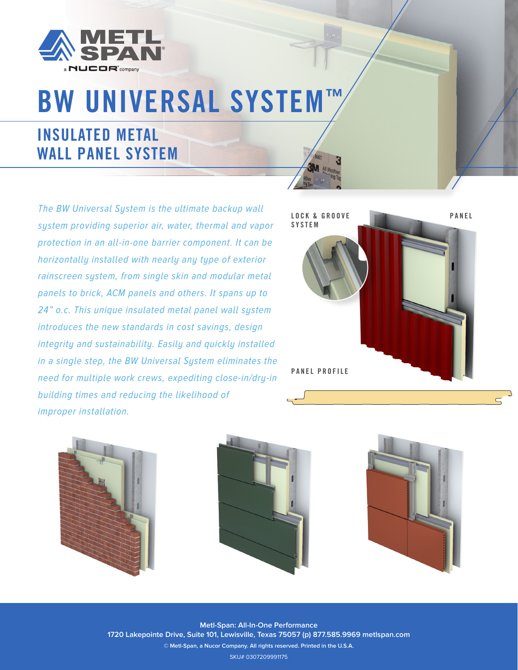

# BW UNIVERSAL SYSTEM™

# INSULATED METAL WALL PANEL SYSTEM

The BW Universal System is the ultimate backup wall system providing superior air, water, thermal and vapor protection in an all-in-one barrier component. It can be horizontally installed with nearly any type of exterior rainscreen system, from single skin and modular metal panels to brick, ACM panels and others. It spans up to 24" o.c. This unique insulated metal panel wall system introduces the new standards in cost savings, design integrity and sustainability. Easily and quickly installed in a single step, the BW Universal System eliminates the need for multiple work crews, expediting close-in/dry-in building times and reducing the likelihood of improper installation.









**Metl-Span: All-In-One Performance 1720 Lakepointe Drive, Suite 101, Lewisville, Texas 75057 (p) 877.585.9969 metlspan.com © Metl-Span, a Nucor Company. All rights reserved. Printed in the U.S.A.** SKU# 0307209991175